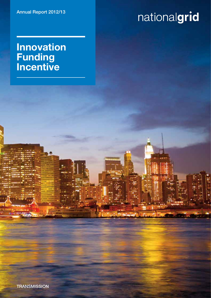Annual Report 2012/13

# nationalgrid

# **Innovation Funding Incentive**

**TRANSMISSION**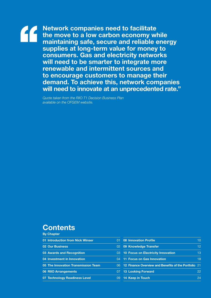**Network companies need to facilitate the move to a low carbon economy while maintaining safe, secure and reliable energy supplies at long‑term value for money to consumers. Gas and electricity networks will need to be smarter to integrate more renewable and intermittent sources and to encourage customers to manage their demand. To achieve this, network companies will need to innovate at an unprecedented rate."**

*Quote taken from the RIIO T1 Decision Business Plan available on the OFGEM website.*

### **Contents**

**By Chapter**

| 01 Introduction from Nick Winser    | 01. | <b>08 Innovation Profile</b>                            | 10 |
|-------------------------------------|-----|---------------------------------------------------------|----|
| 02 Our Business                     |     | 02 09 Knowledge Transfer                                | 12 |
| 03 Awards and Recognition           |     | 03 10 Focus on Electricity Innovation                   | 13 |
| 04 Investment in Innovation         |     | 04 11 Focus on Gas Innovation                           | 18 |
| 05 The Innovation Transmission Team |     | 06 12 Finance Overview and Benefits of the Portfolio 21 |    |
| 06 RIIO Arrangements                | 07  | <b>13 Looking Forward</b>                               | 22 |
| 07 Technology Readiness Level       | 09  | 14 Keep in Touch                                        | 24 |
|                                     |     |                                                         |    |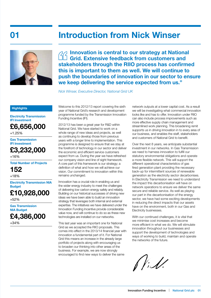### **01 Introduction from Nick Winser**



**Innovation is central to our strategy at National Grid. Extensive feedback from customers and stakeholders through the RIIO process has confirmed this is important to them as well. We will continue to push the boundaries of innovation in our sector to ensure we keep delivering the service expected from us."**

*Nick Winser, Executive Director, National Grid UK*

#### **Highlights**

**Electricity Transmission IFI Investment**

**£6,656,000** 

+1.25%

#### **Gas Transmission IFI Investment**

**£3,232,000** 

+16%

**Total Number of Projects**

**152** +18%

**Electricity Transmission NIA Budget**

**£10,928,000** 

+52%

**Gas Transmission NIA Budget £4,386,000** 

+34%

Welcome to this 2012/13 report covering the sixth year of National Grid's research and development programme funded by the Transmission Innovation Funding Incentive (IFI).

2012/13 has been a great year for R&D within National Grid. We have started to work on a whole range of new ideas and projects, as well as continuing to develop those from previous years with a longer time to implementation. This programme is designed to ensure that we stay at the forefront of technology in our sector and deliver the economic and efficient service customers expect from us. During the year we have refreshed our company vision and line of sight framework. A core part of this framework is our strategy; a definition of what and how we will achieve our vision. Our commitment to innovation within this remains unchanged.

Innovation has a crucial role in enabling us and the wider energy industry to meet the challenges of delivering low carbon energy safely and reliably. Building on our historical successes of driving new ideas we have been able to build an innovation strategy that leverages both internal and external expertise. The initiatives we have delivered under the Innovation Funding Incentive provide considerable value now, and will continue to do so as these new technologies are installed on our networks.

This last year was an important one for National Grid as we accepted the RIIO proposals. This comes into effect in the 2013/14 financial year with innovation a fundamental part of it. For National Grid this means an increase in the already large portfolio of projects along with encouraging us to broaden our thinking into other areas of the business. For example, we are now strongly encouraged to find new ways to deliver the same

network outputs at a lower capital cost. As a result we will be investigating what commercial innovation looks like and has to offer. Innovation under RIIO can also include process improvements such as more effective supply chain management and streamlined work planning. This broadening remit supports us in driving innovation in to every area of our business, and enables the staff, stakeholders and customers of National Grid to benefit.

Over the next 8 years, we anticipate substantial investment in our networks. In Gas Transmission we need to harness innovation to fulfill our statutory environmental obligations and operate a more flexible network. This will support the different operational characteristics of gas fired generation plant providing the necessary back-up for intermittent sources of renewable generation as the electricity sector decarbonises. In Electricity Transmission we need to understand the impact this decarbonisation will have on network operations to ensure we deliver the same secure and reliable service. As well as playing our part in the decarbonisation of the energy sector, we have had some exciting developments in reducing the direct impacts that our assets have on the environment, both in our Gas and Electricity businesses.

With our continued challenges, it is vital that we minimise cost increases and become more efficient in what we do. We will stimulate innovation throughout our businesses and support the development of technologies and ways of working to build, maintain and operate the networks of the future.

(Vi.S.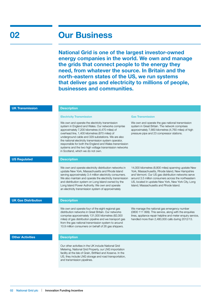### **02 Our Business**

**National Grid is one of the largest investor-owned energy companies in the world. We own and manage the grids that connect people to the energy they need, from whatever the source. In Britain and the north‑eastern states of the US, we run systems that deliver gas and electricity to millions of people, businesses and communities.**

| <b>UK Transmission</b>     | <b>Description</b>                                                                                                                                                                                                                                                                                                                                                                                                                                                                   |                                                                                                                                                                                                                                                                                                                            |
|----------------------------|--------------------------------------------------------------------------------------------------------------------------------------------------------------------------------------------------------------------------------------------------------------------------------------------------------------------------------------------------------------------------------------------------------------------------------------------------------------------------------------|----------------------------------------------------------------------------------------------------------------------------------------------------------------------------------------------------------------------------------------------------------------------------------------------------------------------------|
|                            | <b>Electricity Transmission</b>                                                                                                                                                                                                                                                                                                                                                                                                                                                      | <b>Gas Transmission</b>                                                                                                                                                                                                                                                                                                    |
|                            | We own and operate the electricity transmission<br>system in England and Wales. Our networks comprise<br>approximately 7,200 kilometres (4,470 miles) of<br>overhead line, 1,400 kilometres (870 miles) of<br>underground cable and 329 substations. We are also<br>the national electricity transmission system operator,<br>responsible for both the England and Wales transmission<br>systems and the two high voltage transmission networks<br>in Scotland, which we do not own. | We own and operate the gas national transmission<br>system in Great Britain. The network comprises<br>approximately 7,660 kilometres (4,760 miles) of high<br>pressure pipe and 23 compressor stations.                                                                                                                    |
| <b>US Regulated</b>        | <b>Description</b>                                                                                                                                                                                                                                                                                                                                                                                                                                                                   |                                                                                                                                                                                                                                                                                                                            |
|                            | We own and operate electricity distribution networks in<br>upstate New York, Massachusetts and Rhode Island<br>serving approximately 3.4 million electricity consumers.<br>We also maintain and operate the electricity transmission<br>and distribution system on Long Island owned by the<br>Long Island Power Authority. We own and operate<br>an electricity transmission system of approximately                                                                                | 14,000 kilometres (8,800 miles) spanning upstate New<br>York, Massachusetts, Rhode Island, New Hampshire<br>and Vermont. Our US gas distribution networks serve<br>around 3.5 million consumers across the northeastern<br>US, located in upstate New York, New York City, Long<br>Island, Massachusetts and Rhode Island. |
| <b>UK Gas Distribution</b> | <b>Description</b>                                                                                                                                                                                                                                                                                                                                                                                                                                                                   |                                                                                                                                                                                                                                                                                                                            |
|                            | We own and operate four of the eight regional gas<br>distribution networks in Great Britain. Our networks<br>comprise approximately 131,000 kilometres (82,000<br>miles) of gas distribution pipeline and we transport gas<br>from the gas national transmission system to around<br>10.9 million consumers on behalf of 26 gas shippers.                                                                                                                                            | We manage the national gas emergency number<br>(0800 111 999). This service, along with the enquiries<br>lines, appliance repair helpline and meter enquiry service,<br>handled more than 2,480,000 calls during 2012/13.                                                                                                  |
| <b>Other Activities</b>    | <b>Description</b>                                                                                                                                                                                                                                                                                                                                                                                                                                                                   |                                                                                                                                                                                                                                                                                                                            |
|                            | Our other activities in the UK include National Grid<br>Metering, National Grid Property, our LNG importation<br>facility at the Isle of Grain, BritNed and Xoserve. In the<br>US, they include LNG storage and road transportation,<br>and transmission pipelines.                                                                                                                                                                                                                  |                                                                                                                                                                                                                                                                                                                            |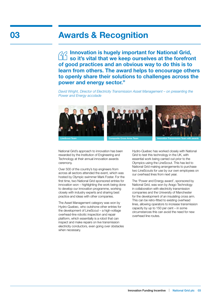### **03 Awards & Recognition**

**Innovation is hugely important for National Grid, so it's vital that we keep ourselves at the forefront of good practices and an obvious way to do this is to learn from others. The award helps to encourage others to openly share their solutions to challenges across the power and energy sector."**

*David Wright, Director of Electricity Transmission Asset Management – on presenting the Power and Energy accolade*









National Grid's approach to innovation has been rewarded by the Institution of Engineering and Technology at their annual innovation awards ceremony.

Over 500 of the country's top engineers from across all sectors attended the event, which was hosted by Olympic swimmer Mark Foster. For the first time, two National Grid sponsored entries for innovation won – highlighting the work being done to develop our innovation programme, working closely with industry experts and sharing best practice and ideas with other companies.

The Asset Management category was won by Hydro-Quebec, who outshone other entries for the development of LineScout – a high-voltage overhead-line robotic inspection and repair platform, which essentially is a robot that can inspect and make repairs on live transmission electricity conductors, even going over obstacles when necessary.

Hydro-Quebec has worked closely with National Grid to test this technology in the UK, with essential work being carried out prior to the Olympics using the LineScout. This has led to National Grid making arrangements to purchase two LineScouts for use by our own employees on our overhead lines from next year.

The 'Power and Energy award', sponsored by National Grid, was won by Arago Technology in collaboration with electricity transmission companies and the University of Manchester for the development of an insulating cross arm. This can be retro-fitted to existing overhead lines, allowing operators to increase transmission capacity by up to 150 per cent – in some circumstances this can avoid the need for new overhead line routes.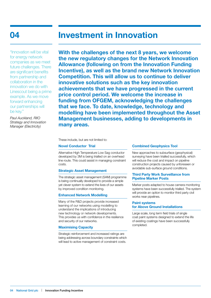## **04 Investment in Innovation**

"Innovation will be vital for energy network companies as we meet future challenges. There are significant benefits from partnership and collaboration in the innovation we do with Linescout being a prime example. As we move forward enhancing our partnerships will be key."

*Paul Auckland, RIIO Strategy and Innovation Manager (Electricity)*

**With the challenges of the next 8 years, we welcome the new regulatory changes for the Network Innovation Allowance (following on from the Innovation Funding Incentive), as well as the brand new Network Innovation Competition. This will allow us to continue to deliver innovative solutions such as the key innovation achievements that we have progressed in the current price control period. We welcome the increase in funding from OFGEM, acknowledging the challenges that we face. To date, knowledge, technology and modelling have been implemented throughout the Asset Management businesses, adding to developments in many areas.**

These include, but are not limited to:

#### **Novel Conductor Trial**

Alternative High Temperature Low Sag conductor developed by 3M is being trialled on an overhead line route. This could assist in managing constraint costs.

#### **Strategic Asset Management**

The strategic asset management (SAM) programme is being continually developed to provide a simple yet clever system to extend the lives of our assets by improved condition monitoring.

#### **Enhanced Network Modelling**

Many of the R&D projects provide increased learning of our networks using modelling to understand the implications of introducing new technology or network developments. This provides us with confidence in the resilience and security of our networks.

#### **Maximising Capacity**

Strategic reinforcement and increased ratings are being addressing across boundary constraints which will lead to active management of constraint costs.

#### **Combined Geophysics Tool**

New approaches to subsurface (geophysical) surveying have been trialled successfully, which will reduce the cost and impact on pipeline construction projects caused by unforeseen or avoidable sub-surface ground conditions.

#### **Third Party Work Surveillance from Pipeline Marker Posts**

Marker posts adapted to house camera monitoring systems have been successfully trialled. The system will provide an option to monitor third party civil works near pipelines.

#### **Paint systems for Above Ground Installations**

Large scale, long term field trials of single coat paint systems designed to extend the life of existing coatings have been successfully completed.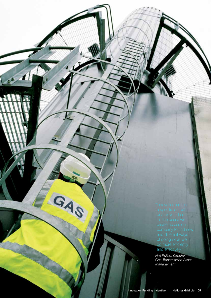n<br>a clever idea company to find new do more efficiently and effectively."

GA

*Neil Pullen, Director, Gas Transmission Asset Management*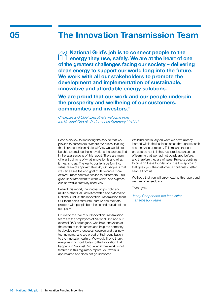### **05 The Innovation Transmission Team**

**National Grid's job is to connect people to the energy they use, safely. We are at the heart of one of the greatest challenges facing our society – delivering clean energy to support our world long into the future. We work with all our stakeholders to promote the development and implementation of sustainable, innovative and affordable energy solutions.**

**We are proud that our work and our people underpin the prosperity and wellbeing of our customers, communities and investors."**

*Chairman and Chief Executive's welcome from the National Grid plc Performance Summary 2012/13*

People are key to improving the service that we provide to customers. Without the critical thinking that is present within National Grid, we would not be able to produce the innovations that are detailed in the later sections of this report. There are many different opinions of what innovation is and what it means to us. The key to our high performing, virtual team of approximately 26,000 people is that we can all see the end goal of delivering a more efficient, more effective service to customers. This gives us a framework to work within, and express our innovative creativity effectively.

Behind this report, the innovation portfolio and multiple other R&D activities within and external to National Grid, sit the Innovation Transmission team. Our team helps stimulate, nurture and facilitate projects with people both inside and outside of the company.

Crucial to the role of our Innovation Transmission team are the employees of National Grid and our external R&D colleagues, who hold innovation at the centre of their careers and help the company to develop new processes, develop and trial new technologies, and are proud of their contribution to the innovation culture. We would like to thank everyone who contributes to the Innovation that happens in National Grid, even if their work is not featured in this regulatory report. Your work is appreciated and does not go unnoticed.

We build continually on what we have already learned within the business areas through research and innovation projects. This means that our projects do not fail, they just produce an aspect of learning that we had not considered before, and therefore they are of value. Projects continue to build on these foundations. It is this approach that gives you, the customer, a continually better service from us.

We hope that you will enjoy reading this report and we welcome feedback.

Thank you,

*Jenny Cooper and the Innovation Transmission Team*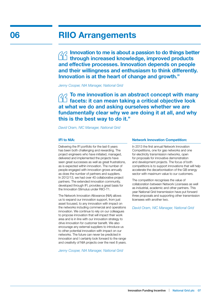## **06 RIIO Arrangements**

**Innovation to me is about a passion to do things better through increased knowledge, improved products and effective processes. Innovation depends on people and their willingness and enthusiasm to think differently. Innovation is at the heart of change and growth."**

*Jenny Cooper, NIA Manager, National Grid*

**To me innovation is an abstract concept with many facets: it can mean taking a critical objective look at what we do and asking ourselves whether we are fundamentally clear why we are doing it at all, and why this is the best way to do it."**

*David Oram, NIC Manager, National Grid*

#### **IFI to NIA:**

Delivering the IFI portfolio for the last 6 years has been both challenging and rewarding. The project engineers who have initiated, managed, delivered and implemented the projects have seen great successes as well as great frustrations, as is expected within innovation. The number of people engaged with innovation grows annually as does the number of partners and suppliers. In 2012/13, we had over 40 collaborative project partners. The extended innovation community, developed through IFI, provides a great basis for the Innovation Stimulus under RIIO-T1.

The Network Innovation Allowance (NIA) allows us to expand our innovation support, from just asset focused, to any innovation with impact on the networks including commercial and operations innovation. We continue to rely on our colleagues to propose innovation that will impact their work area and is in line with our innovation strategy to drive innovation for customer benefit. We also encourage any external suppliers to introduce us to other potential innovation with impact on our networks. The future can never be predicted in innovation and I certainly look forward to the range and creativity of NIA projects over the next 8 years.

*Jenny Cooper, NIA Manager, National Grid*

#### **Network Innovation Competition:**

In 2013 the first annual Network Innovation Competitions, one for gas networks and one for electricity transmission networks, open for proposals for innovative demonstration and development projects. The focus of both competitions is to support innovations that will help accelerate the decarbonisation of the GB energy sector with maximum value to our customers.

The competition recognises the value of collaboration between Network Licensees as well as industrial, academic and other partners. This year National Grid transmission have put forward three proposals and supporting other transmission licensees with another two.

*David Oram, NIC Manager, National Grid*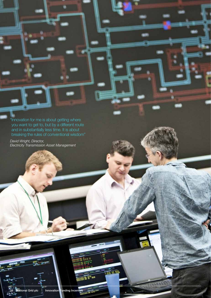"Innovation for me is about getting where you want to get to, but by a different route and in substantially less time. It is about breaking the rules of conventional wisdom"

*David Wright, Director, Electricity Transmission Asset Management*

嚻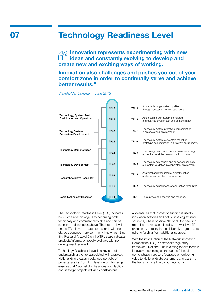### **07 Technology Readiness Level**

**Innovation represents experimenting with new ideas and constantly evolving to develop and create new and exciting ways of working.** 

**Innovation also challenges and pushes you out of your comfort zone in order to continually strive and achieve better results."**

*Stakeholder Comment, June 2013*



| TRL9             | Actual technology system qualified<br>through successful mission operations.                      |
|------------------|---------------------------------------------------------------------------------------------------|
| TRL8             | Actual technology system completed<br>and qualified through test and demonstration.               |
| TRL7             | Technology system prototype demonstration<br>in an operational environment.                       |
| TRL6             | Technology system/subsystem model or<br>prototype demonstration in a relevant environment.        |
| TRL <sub>5</sub> | Technology component and/or basic technology<br>subsystem validation in a relevant environment.   |
| TRL 4            | Technology component and/or basic technology<br>subsystem validation in a laboratory environment. |
| TRL3             | Analytical and experimental critical function<br>and/or characteristic proof-of-concept.          |
| TRL <sub>2</sub> | Technology concept and/or application formulated.                                                 |
| TRL 1            | Basic principles observed and reported.                                                           |

The Technology Readiness Level (TRL) indicates how close a technology is to becoming both technically and commercially viable and can be seen in the description above. The bottom level on the TRL, Level 1 relates to research with no obvious purpose more commonly known as "Blue Sky Research", Level 9 on the TRL scale indicates products/information readily available with no development required

Technology Readiness Level is a key part of understanding the risk associated with a project. National Grid creates a balanced portfolio of projects ranging from TRL level 2 – 8. This range ensures that National Grid balances both tactical and strategic projects within its portfolio but

also ensures that innovation funding is used for innovation activities and not purchasing existing solutions, where possible National Grid seeks to minimise the risk associated with lower level TRL projects by entering into collaborative agreements, utilising funding from additional sources.

With the introduction of the Network Innovation Competition (NIC) in next year's regulatory framework, National Grid is aiming to take forward innovative technologies through to full scale demonstration projects focussed on delivering value to National Grid's customers and assisting the transition to a low carbon economy.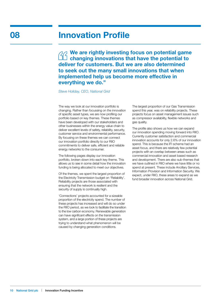### **08 Innovation Profile**

**We are rightly investing focus on potential game changing innovations that have the potential to deliver for customers. But we are also determined to seek out the many small innovations that when implemented help us become more effective in everything we do."**

*Steve Holiday, CEO, National Grid*

The way we look at our innovation portfolio is changing. Rather than focussing on the innovation of specific asset types, we are now profiling our portfolio based on key themes. These themes have been developed with our stakeholders and other businesses within the energy value chain to deliver excellent levels of safety, reliability, security, customer service and environmental performance. By focusing on these themes we can connect our innovation portfolio directly to our RIIO commitments to deliver safe, efficient and reliable energy networks to the consumer.

The following pages display our innovation portfolio, broken down into each key theme. This allows us to see in some detail how the innovation funding is being allocated to meet our objectives.

Of the themes, we spent the largest proportion of the Electricity Transmission budget on 'Reliability'. Reliability projects are those associated with ensuring that the network is resilient and the security of supply is continually high.

'Connections' projects accounted for a sizeable proportion of the electricity spend. The number of these projects has increased and will do so under the RIIO period, as we look to facilitate the transition to the low carbon economy. Renewable generation can have significant effects on the transmission system, and a large portion of these projects are trying to understand what phenomenon will be caused by changing generation conditions.

The largest proportion of our Gas Transmission spend this year, was on reliability projects. These projects focus on asset management issues such as compressor availability, flexible networks and gas quality.

The profile also shows us how we can expand our innovation spending moving forward into RIIO. Currently customer satisfaction and commercial innovation accounts for only 2.6% of our innovation spend. This is because the IFI scheme had an asset focus, and there are relatively few potential projects with an overlap between areas such as commercial innovation and asset based research and development. There are also sub-themes that we have outlined in RIIO where we have little or no spend at present. These include Ancillary Services, Information Provision and Information Security. We expect, under RIIO, these areas to expand as we fund broader innovation across National Grid.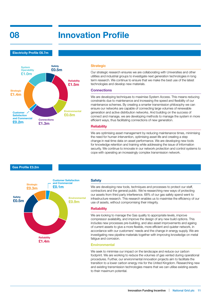## **08 Innovation Profile**

#### **Electricity Profile £6.7m**



#### **Strategic**

Our strategic research ensures we are collaborating with Universities and other utilities and industrial groups to investigate next generation technologies in long term research. We continue to ensure that we make the best use of the latest technologies and develop new materials.

#### **Connections**

We are developing techniques to maximise System Access. This means reducing constraints due to maintenance and increasing the speed and flexibility of our maintenance schemes. By creating a smarter transmission philosophy we can ensure our networks are capable of connecting large volumes of renewable generation and active distribution networks. And building on the success of connect and manage, we are developing methods to manage the system in more efficient ways, thus facilitating connections of new generation.

#### **Reliability**

We are optimising asset management by reducing maintenance times, minimising the need for human intervention, optimising asset life and creating a step change in real-time data on asset performance. We are developing new tools for knowledge retention and training while addressing the issue of Information security. We continue to innovate in our network protection and control systems to cope with operating an increasingly complex transmission network.

#### **Gas Profile £3.2m**



#### **Safety**

We are developing new tools, techniques and processes to protect our staff, contractors and the general public. We're researching new ways of protecting our assets from third party interference. 68% of our gas safety spend went to infrastructure research. This research enables us to maximise the efficiency of our use of assets, without compromising their integrity.

#### **Reliability**

We are looking to manage the Gas quality to appropriate levels, improve compressor availability, and improve the design of any new build options. This includes new processes pre-building, and also asset improvements and ageing of current assets to give a more flexible, more efficient and quieter network, in accordance with our customers' needs and the change in energy supply. We are investigating new pipeline materials together with improving knowledge on metal fatigue and corrosion.

#### **Environmental**

We seek to minimise our impact on the landscape and reduce our carbon footprint. We are working to reduce the volumes of gas vented during operational procedures. Further, our environmental innovation projects aim to facilitate the transition to a lower carbon energy mix for the United Kingdom. Researching new and existing transmission technologies means that we can utilise existing assets to their maximum potential.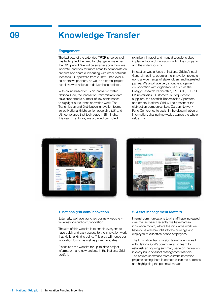## **09 Knowledge Transfer**

#### **Engagement**

The last year of the extended TPCR price control has highlighted the need for change as we enter the RIIO period. We will be smarter about how we innovate, and look for more areas to collaborate on projects and share our learning with other network licensees. Our portfolio from 2012/13 had over 40 collaborative partners, as well as external project suppliers who help us to deliver these projects.

With an increased focus on innovation within National Grid, the Innovation Transmission team have supported a number of key conferences to highlight our current innovation work. The Transmission and Distribution innovation teams joined National Grid's senior leadership (UK and US) conference that took place in Birmingham this year. The display we provided prompted

significant interest and many discussions about implementation of innovation within the company and the wider industry.

Innovation was a focus at National Grid's Annual General meeting, opening the innovation projects up to a wider range of stakeholders and interested parties. We also have very strong engagement on innovation with organisations such as the Energy Research Partnership, ENTSOE, EPSRC, UK universities, Customers, our equipment suppliers, the Scottish Transmission Operators and others. National Grid will be present at the distribution companies' Low Carbon Network Fund Conference to assist in the dissemination of information, sharing knowledge across the whole value chain.





#### **1. nationalgrid.com/innovation**

Externally, we have launched our new website – www.nationalgrid.com/innovation

The aim of this website is to enable everyone to have quick and easy access to the innovation work that National Grid is doing. This area will house our innovation forms, as well as project updates.

Please use the website for up-to-date project information, and new projects in the National Grid portfolio.

#### **2. Asset Management Matters**

Internal communications to all staff have increased over the last year. Recently, we have had an innovation month, where the innovative work we have done was brought into the buildings and displayed to our office-based employees.

The Innovation Transmission team have worked with National Grid's communication team to establish an ongoing summary page on innovation in every issue of Asset Management Matters. The articles showcase three current innovation projects setting them in context within the business and highlighting the potential impact.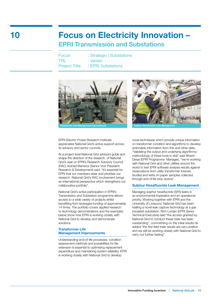# **Focus on Electricity Innovation –**

### **EPRI Transmission and Substations**

| Focus                | : Strategic   Substations |
|----------------------|---------------------------|
| <b>TRL</b>           | : Varied                  |
| <b>Project Title</b> | : EPRI Substations        |



**Transformer Life Management Improvements Sulphur Hexafluoride Leak Management**

EPRI (Electric Power Research Institute) appreciates National Grid's active support across its advisory and sector councils.

At a project level National Grid advisors guide and shape the direction of the research, of National Grid's seat on EPRI's Research Advisory Council (RAC) Arshad Mansoor (Senior Vice President Research & Development) said, "it's essential for EPRI that our members steer and prioritise our research. National Grid's RAC involvement brings an international perspective which strengthens our collaborative portfolio".

National Grid's active participation in EPRI's Transmission and Substation programme allows access to a wide variety of projects whilst benefiting from leveraged funding of approximately 14 times. The portfolio covers applied research to technology demonstrations and the examples below show how EPRI is working closely with National Grid to develop and demonstrate solutions.

#### **Transformer Life Management Improvements**

Understanding end-of-life processes, condition assessment methods and possibilities for life extension is essential to optimising replacement expenditure and maintaining system reliability. EPRI is working closely with National Grid to develop



novel techniques which provide unique information on transformer condition and algorithms to develop actionable information from this and other data. "Validating the output and underlying algorithms/ methodology of these tools is vital" said Bhavin Desai (EPRI Programme Manager), "we're working with National Grid and other utilities around the world to test EPRI software analysis results against observations from utility transformer forensic studies and tests on paper samples collected through end of life strip downs".

#### **Sulphur Hexafluoride Leak Management**

Managing sulphur hexafluoride (SF6) leaks is an environmental imperative and an operational priority. Working together with EPRI and the University of Liverpool, National Grid has been trialling a novel leak capture technology at a gas insulated substation. Rich Lordan (EPRI Senior Technical Executive) said "the access granted by National Grid to conduct these trials has been outstanding", commenting on the initial results he added "the first field trials results are very positive and we will be working closely with National Grid to carry out further testing".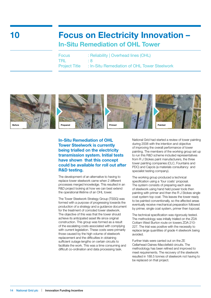## **Focus on Electricity Innovation – In‑Situ Remediation of OHL Tower**

| Focus                | : Reliability   Overhead lines (OHL)         |
|----------------------|----------------------------------------------|
| <b>TRL</b>           | - 8                                          |
| <b>Project Title</b> | : In-Situ Remediation of OHL Tower Steelwork |



### **In‑Situ Remediation of OHL Tower Steelwork is currently being trialled on the electricity transmission system. Initial tests have shown that this concept could be available for roll out after R&D testing.**

The development of an alternative to having to replace tower steelwork came when 2 different processes merged knowledge. This resulted in an R&D project looking at how we can best extend the operational lifetime of an OHL tower.

The Tower Steelwork Strategy Group (TSSG) was formed with a purpose of progressing towards the production of a strategy and a guidance document for the treatment of corroded tower steelwork. The objective of this was that the tower should achieve its anticipated asset life since original construction. This group was formed as a result of the escalating costs associated with complying with current legislation. These costs were primarily those caused by the high volume of steelwork replacement and the difficulties in obtaining sufficient outage lengths on certain circuits to facilitate the work. This was a time consuming and difficult co-ordination and data processing task.

National Grid had started a review of tower painting during 2008 with the intention and objective of improving the overall performance of tower painting. The members of the working group set up to run this R&D scheme included representatives from R J Stokes paint manufacturers, the three tower painting companies (CLC, Fountains and PDC) and Capcis (a materials consultancy and specialist testing company).

The working group produced a technical specification using a 'four coats' proposal. The system consists of preparing each area of steelwork using hand held power tools then painting with primer and then the R J Stokes single coat system top coat. This leaves the tower ready to be painted conventionally, so the affected areas eventually receive mechanical preparation followed by primer, single coat system, primer then topcoat.

The technical specification was rigorously tested. The methodology was initially trialled on the ZDA Cottam West Burton route on towers ZDA 210- 227. The trial was positive with the necessity to replace large quantities of grade 4 steelwork being avoided.

Further trials were carried out on the ZE Cellarhead-Daines-Macclefield circuits. The methodology has been refined and improved to meet requirements. The recovery of the steelwork resulted in 188.5 tonnes of steelwork not having to be replaced on that project.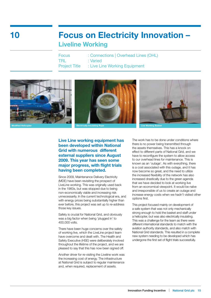### **Focus on Electricity Innovation – Liveline Working**

| Focus                | : Connections   Overhead Lines (OHL) |
|----------------------|--------------------------------------|
| <b>TRL</b>           | : Varied                             |
| <b>Project Title</b> | : Live Line Working Equipment        |



### **Live Line working equipment has been developed within National Grid with numerous different external suppliers since August 2009. This year has seen some major progress, with flight trials having been completed.**

Since 2009, Maintenance Delivery Electricity (MDE) have been revisiting the prospect of LiveLine working. This was originally used back in the 1960s, but was stopped due to being non-economically viable and increasing risk unnecessarily. In the current technological era, and with energy prices being substantially higher than ever before, this project was set up to re-address those key issues.

Safety is crucial for National Grid, and obviously was a big factor when being 'plugged in' to 400,000 volts.

There have been huge concerns over the safety of working live, which the LiveLine project team have overcome and dealt with. The Health and Safety Executive (HSE) were deliberately involved throughout the lifetime of the project, and we are pleased to say that this has now been signed off.

Another driver for re-visiting the Liveline work was the increasing cost of energy. The infrastructure at National Grid is subject to regular maintenance and, when required, replacement of assets.

The work has to be done under conditions where there is no power being transmitted through the assets themselves. This has a knock on effect to different parts of National Grid, and we have to reconfigure the system to allow access to our overhead lines for maintenance. This is known as an 'outage'. As with everything, there is a cost associated with this outage, and it has now become so great, and the need to utilize the increased flexibility of the network has also increased drastically due to the green agenda that we have decided to look at working live from an economical viewpoint. It would be naïve and irresponsible of us to create an outage and increase energy costs when we hadn't visited other options first.

This project focused mainly on development of a safe system that was not only mechanically strong enough to hold the basket and staff under a helicopter, but was also electrically insulating. This was a challenge for the team as there were different international standards to match with the aviation authority standards, and also match with National Grid standards. This resulted in a complete new system needing to be developed which has undergone the first set of flight trials successfully.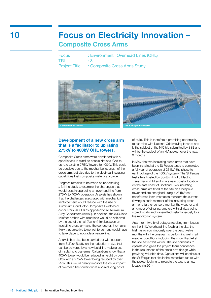### **Focus on Electricity Innovation – Composite Cross Arms**

| Focus                | : Environment   Overhead Lines (OHL) |
|----------------------|--------------------------------------|
| <b>TRL</b>           | . 8                                  |
| <b>Project Title</b> | : Composite Cross Arms Study         |



### **Development of a new cross arm that is a facilitator to up rating 275kV to 400kV OHL towers.**

Composite Cross arms were developed with a specific task in mind, to enable National Grid to up rate existing 275kV towers to 400kV. This could be possible due to the mechanical strength of the cross arm, but also due to the electrical insulating capabilities that composite materials provide.

Progress remains to be made on undertaking a full line study to examine the challenges that would exist in upgrading an overhead line from 275kV to 400kV operation. Analysis has shown that the challenges associated with mechanical reinforcement would reduce with the use of Aluminium Conductor Composite Reinforced conductors (ACCC) as opposed to All Aluminium Alloy Conductors (AAAC). In addition, the 30% load relief for broken wire situations would be achieved by the use of a small (few cm) link between an insulating cross-arm and the conductor. It remains likely that selective tower reinforcement would have to take place to upgrade an entire line.

Analysis has also been carried out with support from Balfour Beatty on the reduction in size that can be delivered by a new build line making use of insulating cross-arms. Calculations show that a 400kV tower would be reduced in height by over 30% with a 275kV tower being reduced by over 25%. This would greatly improve the visual impact of overhead line towers while also reducing costs

of build. This is therefore a promising opportunity to examine with National Grid moving forward and is the subject of the NIC bid submitted by SSE and will be the subject of an NIA project over the next 9 months.

In May, the two insulating cross-arms that have been installed at the St Fergus test site completed a full year of operation at 231kV (the phase to earth voltage of the 400kV system). The St Fergus test site is hosted by Scottish Hydro Electric Transmission Ltd and is in a near coastal location on the east coast of Scotland. Two insulating cross-arms are fitted at the site on a bespoke tower and are energized using a 231kV test transformer. Instrumentation monitors the current flowing in each member of the insulating crossarm and further sensors monitor the weather and a number of other parameters with all data being stored locally and transmitted instantaneously to a live monitoring system.

Apart from two brief outages resulting from issues on the 11kV overhead line feeding the site, the trial has run continuously over the past twelve months with the cross-arms performing well in all weather conditions including the snow that fell at the site earlier this winter. The site continues to operate and gives the project team confidence in the robustness of the cross-arm design while providing valuable data. Operations will continue at the St Fergus test site in the immediate future with the project looking to relocate the test to a new location in 2014.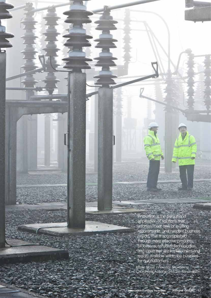"Innovation is the pursuit and application of solutions that address/meet new or existing requirements, and nascent business needs. This is accomplished through more effective products, processes, services, technologies, and ideas that are implemented and readily available within the business for our customers."

*Misha Bruce, Innovation Engineering Coordinator, National Grid Gas Transmission*

**Res**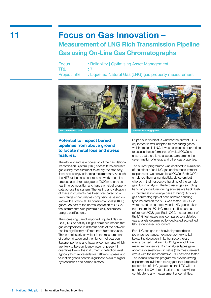## **11 Focus on Gas Innovation –**

**Measurement of LNG Rich Transmission Pipeline Gas using On-Line Gas Chromatographs**

Focus : Reliability | Optimising Asset Management TRL : 7 Project Title : Liquefied Natural Gas (LNG) gas property measurement



**LNG Terminal at Grain** 

### **Potential to inspect buried pipelines from above ground to locate metal loss and stress features.**

The efficient and safe operation of the gas National Transmission System (NTS) necessitates accurate gas quality measurement to satisfy the statutory, fiscal and energy balancing requirements. As such, the NTS utilises a widespread network of on-line process gas chromatographs (OGCs) to provide real time composition and hence physical property data across the system. The testing and validation of these instruments has been predicated on a likely range of natural gas compositions based on knowledge of typical UK continental shelf (UKCS) gases. As part of the normal operation of OGCs, the instruments also perform a daily calibration using a certified gas.

The increasing use of imported Liquified Natural Gas (LNG) to satisfy UK gas demands means that gas compositions in different parts of the network can be significantly different from historic values. This is particularly prevalent in the measurement of carbon dioxide and the higher hydrocarbon (butane, pentane and hexane) components which are likely to be significantly lower or present in quantities below the instruments' detection level. Typically both representative calibration gases and validation gases contain significant levels of higher hydrocarbons and carbon dioxide.



Of particular interest is whether the current OGC equipment is well adapted to measuring gases which are rich in LNG. It was considered appropriate to assess the performance of typical OGCs to ensure that there is no unacceptable error in the determination of energy and other gas properties.

The current programme was confined to evaluation of the effect of an LNG gas on the measurement response of two conventional OGCs. Both OGCs employed thermal conductivity detectors but differed in their respective handling of the sample gas during analysis. The two usual gas sampling handling procedures during analysis are back flush or forward elution (single pass through). A typical gas chromatograph of each sample handling type installed on the NTS was tested. All OGCs were tested using three typical LNG gases taken from the main UK LNG import facilities and a reference UKCS gas. Each OGC measurement of the LNG test gases was compared to a detailed gas analysis determined by dedicated accredited laboratory-based equipment.

For LNG rich gas the heavier hydrocarbons (butanes, pentanes, hexanes) are likely to fall below the detection limits but nevertheless it was expected that each OGC type would give measurement errors. Both analyser types gave acceptably small calorific value (CV) measurement errors with the representative LNG samples tested. The results from this programme provide strong experimental evidence to suggest that large scale penetration of LNG gas across the NTS will not compromise CV determination and thus will not contribute to any measurement uncertainties.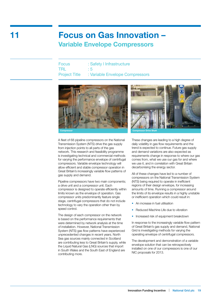# **11 Focus on Gas Innovation –**

### **Variable Envelope Compressors**

| Focus                | : Safety I Infrastructure       |
|----------------------|---------------------------------|
| <b>TRL</b>           | : 5                             |
| <b>Project Title</b> | : Variable Envelope Compressors |



A fleet of 68 pipeline compressors on the National Transmission System (NTS) drive the gas supply from injection points to all parts of the gas network. This research and feasibility programme is investigating technical and commercial methods for varying the performance envelope of centrifugal compressors. Variable envelope technology will allow efficient and stable compressor operation in Great Britain's increasingly variable flow patterns of gas supply and demand.

Pipeline compressors have two main components; a drive unit and a compressor unit. Each compressor is designed to operate efficiently within limits known as the envelope of operation. Gas compressor units predominantly feature single stage, centrifugal compressors that do not include technology to vary the operation other than by speed control.

The design of each compressor on the network is based on the performance requirements that were determined by network analysis at the time of installation. However, National Transmission System (NTS) gas flow patterns have experienced unprecedented changes in recent years. North Sea gas sources mainly connected in Scotland are contributing less to Great Britain's supply, while the Liquid Natural Gas (LNG) sources that import in South Wales and the South East of England are contributing more.



These changes are leading to a high degree of daily volatility in gas flow requirements and the trend is expected to continue. Future gas supply and demand variations are also expected as requirements change in response to where our gas comes from, what we use our gas for and where we use it, and in correlation with Great Britain decarbonising the energy sector.

All of these changes have led to a number of compressors on the National Transmission System (NTS) being required to operate in inefficient regions of their design envelope, for increasing amounts of time. Running a compressor around the limits of its envelope results in a highly unstable or inefficient operation which could result in:

- An increase in fuel utilisation
- Reduced Machine Life due to vibration
- Increased risk of equipment breakdown

In response to the increasingly variable flow pattern of Great Britain's gas supply and demand, National Grid is investigating methods for varying the operating envelope of centrifugal compressors.

The development and demonstration of a variable envelope solution that can be retrospectively installed on one of our compressors is one of our NIC proposals for 2013.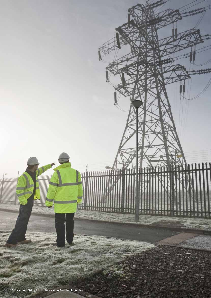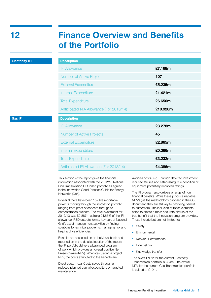# **Finance Overview and Benefits of the Portfolio**

#### **Electricity IFI**

| <b>Description</b>                      |          |
|-----------------------------------------|----------|
| <b>IFI Allowance</b>                    | £7.168m  |
| <b>Number of Active Projects</b>        | 107      |
| <b>External Expenditure</b>             | £5,235m  |
| <b>Internal Expenditure</b>             | £1.421m  |
| <b>Total Expenditure</b>                | £6.656m  |
| Anticipated NIA Allowance (For 2013/14) | £10.928m |
|                                         |          |
| <b>Description</b>                      |          |
| <b>IFI Allowance</b>                    | £3.278m  |
| <b>Number of Active Projects</b>        | 45       |
| <b>External Expenditure</b>             | £2.865m  |
| <b>Internal Expenditure</b>             | £0.366m  |
| <b>Total Expenditure</b>                | £3.232m  |

This section of the report gives the financial information associated with the 2012/13 National Grid Transmission IFI funded portfolio as agreed in the Innovation Good Practice Guide for Energy Networks (G85).

In year 6 there have been 152 live reportable projects moving through the innovation portfolio ranging from proof of concept through to demonstration projects. The total investment for 2012/13 was £9.887m utilising 94.65% of the IFI allowance. R&D outputs form a key part of National Grid's asset management activities by finding solutions to technical problems, managing risk and helping drive efficiencies.

Benefits are assessed on an individual basis and reported on in the detailed section of the report; the IFI portfolio delivers a balanced program of work which provides an overall positive Net Present Value (NPV). When calculating a project NPV, the costs attributed to the benefits are:

Direct costs – e.g. Costs saved through a reduced planned capital expenditure or targeted maintenance.

Avoided costs- e.g. Through deferred investment, reduced failures and establishing true condition of equipment potentially improved ratings.

The IFI program also delivers a range of non financial benefits. While these produce negative NPV's (via the methodology provided in the G85 document) they are still key to providing benefit to customers. The inclusion of these elements helps to create a more accurate picture of the true benefit that the innovation program provides. These include but are not limited to:

- Safety
- Environmental
- Network Performance
- **External risk**
- Knowledge transfer

The overall NPV for the current Electricity Transmission portfolio is £34m. The overall NPV for the current Gas Transmission portfolio is valued at £10m.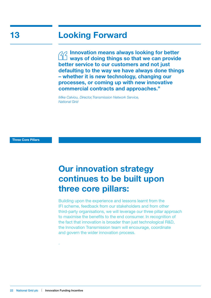### **13 Looking Forward**

**Innovation means always looking for better ways of doing things so that we can provide better service to our customers and not just defaulting to the way we have always done things – whether it is new technology, changing our processes, or coming up with new innovative commercial contracts and approaches."**

*Mike Calviou, Director,Transmission Network Service, National Grid*

#### **Three Core Pillars**

# **Our innovation strategy continues to be built upon three core pillars:**

Building upon the experience and lessons learnt from the IFI scheme, feedback from our stakeholders and from other third-party organisations, we will leverage our three pillar approach to maximise the benefits to the end consumer. In recognition of the fact that innovation is broader than just technological R&D, the Innovation Transmission team will encourage, coordinate and govern the wider innovation process.

.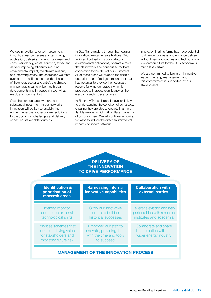We use innovation to drive improvement in our business processes and technology application, delivering value to customers and consumers through cost reduction, expedient delivery, improving efficiency, reducing environmental impact, maintaining reliability and improving safety. The challenges we must overcome to facilitate the decarbonisation of the energy sector and satisfy the climate change targets can only be met through developments and innovation in both what we do and how we do it.

Over the next decade, we forecast substantial investment in our networks; innovation will be key to establishing efficient, effective and economic solutions to the upcoming challenges and delivery of desired stakeholder outputs.

In Gas Transmission, through harnessing innovation, we can ensure National Grid fulfils and outperforms our statutory environmental obligations, operate a more flexible network and continue to facilitate connection to the NTS of our customers. All of these areas will support the flexible operation of gas fired generation plant that has potential to provide the necessary reserve for wind generation which is predicted to increase significantly as the electricity sector decarbonises.

In Electricity Transmission, innovation is key to understanding the condition of our assets, ensuring they are able to operate in a more flexible manner, which will facilitate connection of our customers. We will continue to looking for ways to reduce the direct environmental impact of our own network.

Innovation in all its forms has huge potential to drive our business and enhance delivery. Without new approaches and technology, a low-carbon future for the UK's economy is much less certain.

We are committed to being an innovative leader in energy management and this commitment is supported by our stakeholders.

### **DELIVERY OF THE INNOVATION TO DRIVE PERFORMANCE**

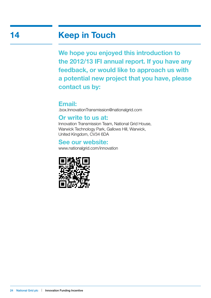# **14 Keep in Touch**

**We hope you enjoyed this introduction to the 2012/13 IFI annual report. If you have any feedback, or would like to approach us with a potential new project that you have, please contact us by:**

### **Email:**

.box.InnovationTransmission@nationalgrid.com

### **Or write to us at:**

Innovation Transmission Team, National Grid House, Warwick Technology Park, Gallows Hill, Warwick, United Kingdom, CV34 6DA

### **See our website:**

www.nationalgrid.com/innovation